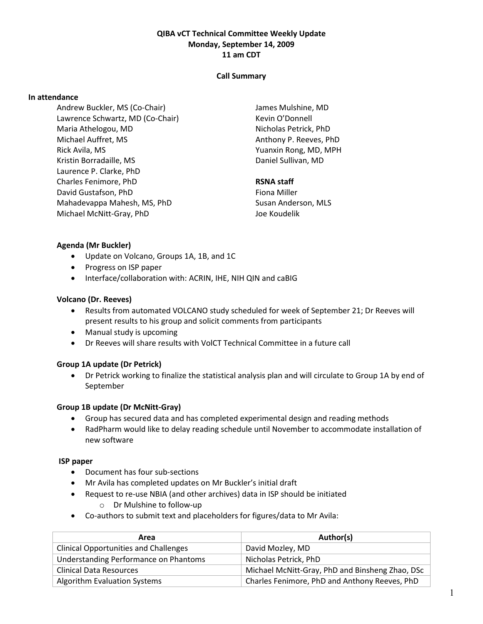# QIBA vCT Technical Committee Weekly Update Monday, September 14, 2009 11 am CDT

### Call Summary

#### In attendance

Andrew Buckler, MS (Co-Chair) Lawrence Schwartz, MD (Co-Chair) Maria Athelogou, MD Michael Auffret, MS Rick Avila, MS Kristin Borradaille, MS Laurence P. Clarke, PhD Charles Fenimore, PhD David Gustafson, PhD Mahadevappa Mahesh, MS, PhD Michael McNitt-Gray, PhD

James Mulshine, MD Kevin O'Donnell Nicholas Petrick, PhD Anthony P. Reeves, PhD Yuanxin Rong, MD, MPH Daniel Sullivan, MD

### RSNA staff

Fiona Miller Susan Anderson, MLS Joe Koudelik

### Agenda (Mr Buckler)

- Update on Volcano, Groups 1A, 1B, and 1C
- Progress on ISP paper
- Interface/collaboration with: ACRIN, IHE, NIH QIN and caBIG

### Volcano (Dr. Reeves)

- Results from automated VOLCANO study scheduled for week of September 21; Dr Reeves will present results to his group and solicit comments from participants
- Manual study is upcoming
- Dr Reeves will share results with VolCT Technical Committee in a future call

### Group 1A update (Dr Petrick)

• Dr Petrick working to finalize the statistical analysis plan and will circulate to Group 1A by end of September

### Group 1B update (Dr McNitt-Gray)

- Group has secured data and has completed experimental design and reading methods
- RadPharm would like to delay reading schedule until November to accommodate installation of new software

### ISP paper

- Document has four sub-sections
- Mr Avila has completed updates on Mr Buckler's initial draft
- Request to re-use NBIA (and other archives) data in ISP should be initiated o Dr Mulshine to follow-up
- Co-authors to submit text and placeholders for figures/data to Mr Avila:

| Area                                         | Author(s)                                       |
|----------------------------------------------|-------------------------------------------------|
| <b>Clinical Opportunities and Challenges</b> | David Mozley, MD                                |
| Understanding Performance on Phantoms        | Nicholas Petrick, PhD                           |
| <b>Clinical Data Resources</b>               | Michael McNitt-Gray, PhD and Binsheng Zhao, DSc |
| Algorithm Evaluation Systems                 | Charles Fenimore, PhD and Anthony Reeves, PhD   |